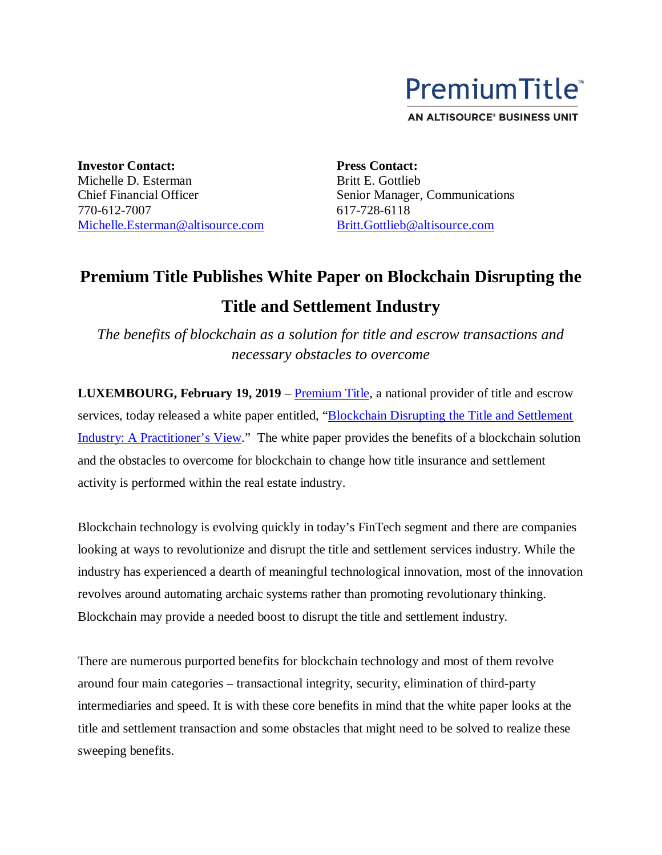

**AN ALTISOURCE® BUSINESS UNIT** 

**Investor Contact:** Michelle D. Esterman Chief Financial Officer 770-612-7007 Michelle.Esterman@altisource.com **Press Contact:** Britt E. Gottlieb Senior Manager, Communications 617-728-6118 Britt.Gottlieb@altisource.com

## **Premium Title Publishes White Paper on Blockchain Disrupting the Title and Settlement Industry**

*The benefits of blockchain as a solution for title and escrow transactions and necessary obstacles to overcome*

**LUXEMBOURG, February 19, 2019** – Premium Title, a national provider of title and escrow services, today released a white paper entitled, "Blockchain Disrupting the Title and Settlement Industry: A Practitioner's View." The white paper provides the benefits of a blockchain solution and the obstacles to overcome for blockchain to change how title insurance and settlement activity is performed within the real estate industry.

Blockchain technology is evolving quickly in today's FinTech segment and there are companies looking at ways to revolutionize and disrupt the title and settlement services industry. While the industry has experienced a dearth of meaningful technological innovation, most of the innovation revolves around automating archaic systems rather than promoting revolutionary thinking. Blockchain may provide a needed boost to disrupt the title and settlement industry.

There are numerous purported benefits for blockchain technology and most of them revolve around four main categories – transactional integrity, security, elimination of third-party intermediaries and speed. It is with these core benefits in mind that the white paper looks at the title and settlement transaction and some obstacles that might need to be solved to realize these sweeping benefits.